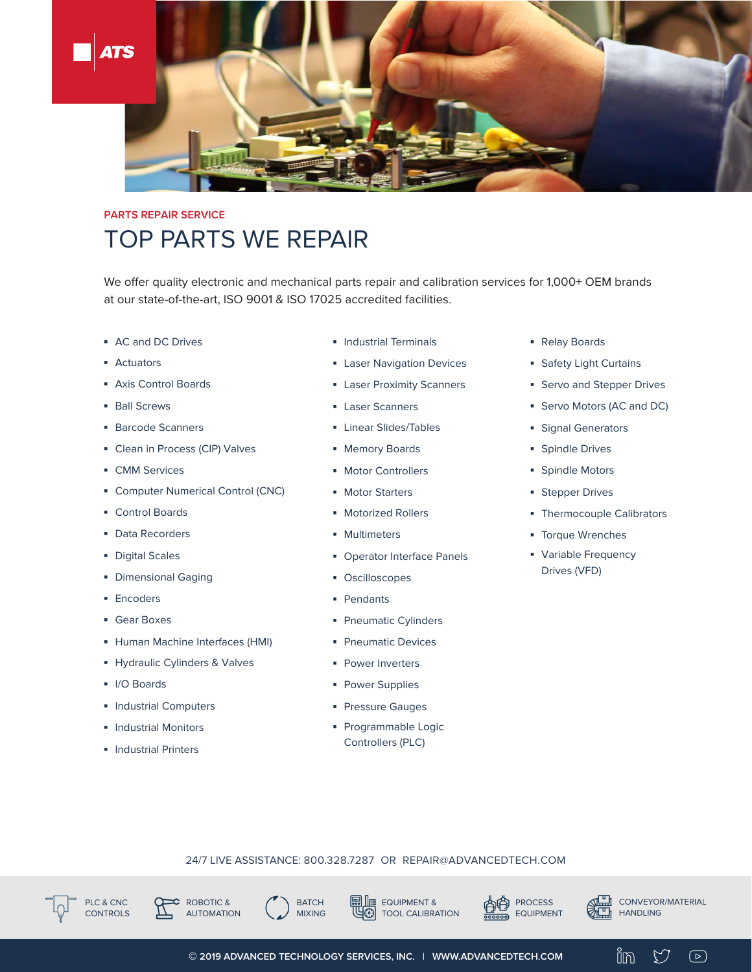

## **PARTS REPAIR SERVICE** TOP PARTS WE REPAIR

We offer quality electronic and mechanical parts repair and calibration services for 1,000+ OEM brands at our state-of-the-art, ISO 9001 & ISO 17025 accredited facilities.

- **▪** AC and DC Drives
- **▪** Actuators
- **▪** Axis Control Boards
- **▪** Ball Screws
- **▪** Barcode Scanners
- **▪** Clean in Process (CIP) Valves
- **▪** CMM Services
- **▪** Computer Numerical Control (CNC)
- **▪** Control Boards
- **▪** Data Recorders
- **▪** Digital Scales
- **▪** Dimensional Gaging
- **▪** Encoders
- **▪** Gear Boxes
- **▪** Human Machine Interfaces (HMI)
- **▪** Hydraulic Cylinders & Valves
- **▪** I/O Boards
- **▪** Industrial Computers
- **▪** Industrial Monitors
- **▪** Industrial Printers
- **▪** Industrial Terminals
- **▪** Laser Navigation Devices
- **▪** Laser Proximity Scanners
- **▪** Laser Scanners
- **▪** Linear Slides/Tables
- **▪** Memory Boards
- **▪** Motor Controllers
- **▪** Motor Starters
- **▪** Motorized Rollers
- **▪** Multimeters
- **▪** Operator Interface Panels
- **▪** Oscilloscopes
- **▪** Pendants
- **▪** Pneumatic Cylinders
- **▪** Pneumatic Devices
- **▪** Power Inverters
- **▪** Power Supplies
- **▪** Pressure Gauges
- **▪** Programmable Logic Controllers (PLC)
- **▪** Relay Boards
- **▪** Safety Light Curtains
- **▪** Servo and Stepper Drives
- **▪** Servo Motors (AC and DC)
- **▪** Signal Generators
- **▪** Spindle Drives
- **▪** Spindle Motors
- **▪** Stepper Drives
- **▪** Thermocouple Calibrators
- **▪** Torque Wrenches
- **▪** Variable Frequency Drives (VFD)

## 24/7 LIVE ASSISTANCE: 800.328.7287 OR REPAIR@ADVANCEDTECH.COM







EQUIPMENT & TOOL CALIBRATION





Y

 $\bigcirc$ 

in